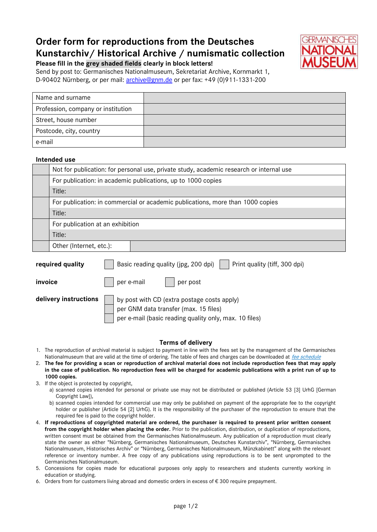# **Order form for reproductions from the Deutsches Kunstarchiv/ Historical Archive / numismatic collection**



**Please fill in the grey shaded fields clearly in block letters!** Send by post to: Germanisches Nationalmuseum, Sekretariat Archive, Kornmarkt 1, D-90402 Nürnberg, or per mail: [archive@gnm.de](mailto:archive@gnm.de) or per fax: +49 (0)911-1331-200

| Name and surname                   |  |
|------------------------------------|--|
| Profession, company or institution |  |
| Street, house number               |  |
| Postcode, city, country            |  |
| e-mail                             |  |

#### **Intended use**

| Not for publication: for personal use, private study, academic research or internal use |  |  |
|-----------------------------------------------------------------------------------------|--|--|
| For publication: in academic publications, up to 1000 copies                            |  |  |
| Title:                                                                                  |  |  |
| For publication: in commercial or academic publications, more than 1000 copies          |  |  |
| Title:                                                                                  |  |  |
| For publication at an exhibition                                                        |  |  |
| Title:                                                                                  |  |  |
| Other (Internet, etc.):                                                                 |  |  |
|                                                                                         |  |  |

| required quality      | Basic reading quality (jpg, 200 dpi)<br>Print quality (tiff, 300 dpi)                                                                          |  |
|-----------------------|------------------------------------------------------------------------------------------------------------------------------------------------|--|
| invoice               | per e-mail<br>per post                                                                                                                         |  |
| delivery instructions | by post with CD (extra postage costs apply)<br>per GNM data transfer (max. 15 files)<br>per e-mail (basic reading quality only, max. 10 files) |  |

#### **Terms of delivery**

- 1. The reproduction of archival material is subject to payment in line with the fees set by the management of the Germanisches Nationalmuseum that are valid at the time of ordering. The table of fees and charges can be downloaded at *[fee schedule](http://www.gnm.de/fileadmin/redakteure/Museum/pdf/GNM_Gebuehrenverzeichnis_deutsch.pdf)*
- 2. **The fee for providing a scan or reproduction of archival material does not include reproduction fees that may apply in the case of publication. No reproduction fees will be charged for academic publications with a print run of up to 1000 copies.**
- 3. If the object is protected by copyright,
	- a) scanned copies intended for personal or private use may not be distributed or published (Article 53 [3] UrhG [German Copyright Law]),
	- b) scanned copies intended for commercial use may only be published on payment of the appropriate fee to the copyright holder or publisher (Article 54 [2] UrhG). It is the responsibility of the purchaser of the reproduction to ensure that the required fee is paid to the copyright holder.
- 4. **If reproductions of copyrighted material are ordered, the purchaser is required to present prior written consent from the copyright holder when placing the order.** Prior to the publication, distribution, or duplication of reproductions, written consent must be obtained from the Germanisches Nationalmuseum. Any publication of a reproduction must clearly state the owner as either "Nürnberg, Germanisches Nationalmuseum, Deutsches Kunstarchiv", "Nürnberg, Germanisches Nationalmuseum, Historisches Archiv" or "Nürnberg, Germanisches Nationalmuseum, Münzkabinett" along with the relevant reference or inventory number. A free copy of any publications using reproductions is to be sent unprompted to the Germanisches Nationalmuseum.
- 5. Concessions for copies made for educational purposes only apply to researchers and students currently working in education or studying.
- 6. Orders from for customers living abroad and domestic orders in excess of  $\epsilon$  300 require prepayment.